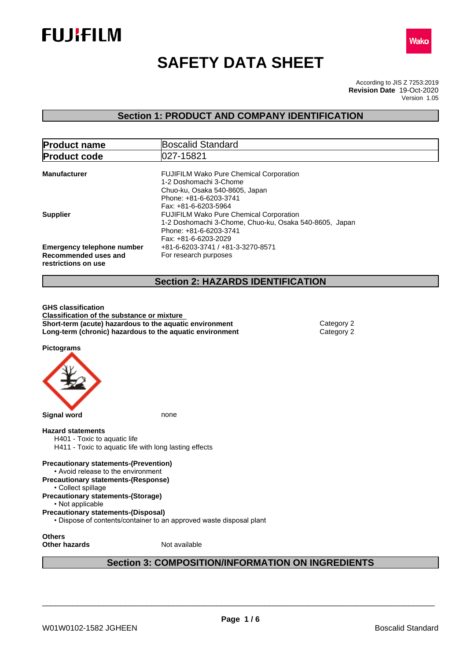



# **SAFETY DATA SHEET**

According to JIS Z 7253:2019 Version 1.05 **Revision Date** 19-Oct-2020

# **Section 1: PRODUCT AND COMPANY IDENTIFICATION**

| <b>Product name</b>                                                              | Boscalid Standard                                                                                                                                            |
|----------------------------------------------------------------------------------|--------------------------------------------------------------------------------------------------------------------------------------------------------------|
| <b>Product code</b>                                                              | 1027-15821                                                                                                                                                   |
| <b>Manufacturer</b>                                                              | <b>FUJIFILM Wako Pure Chemical Corporation</b><br>1-2 Doshomachi 3-Chome<br>Chuo-ku, Osaka 540-8605, Japan<br>Phone: +81-6-6203-3741<br>Fax: +81-6-6203-5964 |
| <b>Supplier</b>                                                                  | <b>FUJIFILM Wako Pure Chemical Corporation</b><br>1-2 Doshomachi 3-Chome, Chuo-ku, Osaka 540-8605, Japan<br>Phone: +81-6-6203-3741<br>Fax: +81-6-6203-2029   |
| <b>Emergency telephone number</b><br>Recommended uses and<br>restrictions on use | +81-6-6203-3741 / +81-3-3270-8571<br>For research purposes                                                                                                   |
|                                                                                  | <b>Section 2: HAZARDS IDENTIFICATION</b>                                                                                                                     |

**GHS classification Classification of the substance or mixture Short-term (acute) hazardous to the aquatic environment** Category 2 **Long-term (chronic) hazardous to the aquatic environment** Category 2

**Pictograms**



# **Section 3: COMPOSITION/INFORMATION ON INGREDIENTS**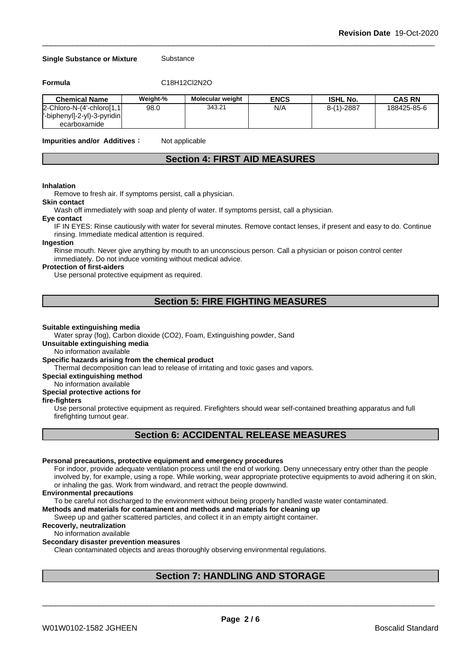#### **Single Substance or Mixture** Substance

**Formula** C18H12Cl2N2O

| <b>Chemical Name</b>        | Weight-% | <b>Molecular weight</b> | <b>ENCS</b> | <b>ISHL No.</b> | CAS RN      |
|-----------------------------|----------|-------------------------|-------------|-----------------|-------------|
| 2-Chloro-N-(4'-chloro[1,1]  | 98.0     | 343.21                  | N/A         | $8-(1)-2887$    | 188425-85-6 |
| '-biphenyl]-2-yl)-3-pyridin |          |                         |             |                 |             |
| ecarboxamide                |          |                         |             |                 |             |

**Impurities and/or Additives**: Not applicable

# **Section 4: FIRST AID MEASURES**

#### **Inhalation**

Remove to fresh air. If symptoms persist, call a physician.

#### **Skin contact**

Wash off immediately with soap and plenty of water. If symptoms persist, call a physician.

#### **Eye contact**

IF IN EYES: Rinse cautiously with water for several minutes. Remove contact lenses, if present and easy to do. Continue rinsing. Immediate medical attention is required.

# **Ingestion**

Rinse mouth. Never give anything by mouth to an unconscious person. Call a physician or poison control center immediately. Do not induce vomiting without medical advice.

#### **Protection of first-aiders**

Use personal protective equipment as required.

# **Section 5: FIRE FIGHTING MEASURES**

#### **Suitable extinguishing media**

Water spray (fog), Carbon dioxide (CO2), Foam, Extinguishing powder, Sand

### **Unsuitable extinguishing media**

No information available

## **Specific hazards arising from the chemical product**

Thermal decomposition can lead to release of irritating and toxic gases and vapors.

#### **Special extinguishing method**

No information available

# **Special protective actions for**

# **fire-fighters**

Use personal protective equipment as required.Firefighters should wear self-contained breathing apparatus and full firefighting turnout gear.

# **Section 6: ACCIDENTAL RELEASE MEASURES**

#### **Personal precautions, protective equipment and emergency procedures**

For indoor, provide adequate ventilation process until the end of working. Deny unnecessary entry other than the people involved by, for example, using a rope. While working, wear appropriate protective equipments to avoid adhering it on skin, or inhaling the gas. Work from windward, and retract the people downwind.

#### **Environmental precautions**

To be careful not discharged to the environment without being properly handled waste water contaminated.

## **Methods and materials for contaminent and methods and materials for cleaning up**

Sweep up and gather scattered particles, and collect it in an empty airtight container.

#### **Recoverly, neutralization**

#### No information available

#### **Secondary disaster prevention measures**

Clean contaminated objects and areas thoroughly observing environmental regulations.

# **Section 7: HANDLING AND STORAGE**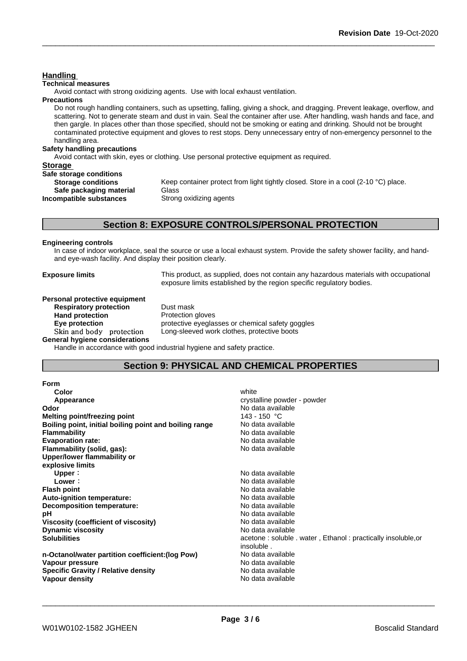**Technical measures** Avoid contact with strong oxidizing agents. Use with local exhaust ventilation. **Precautions** Do not rough handling containers, such as upsetting, falling, giving a shock, and dragging. Prevent leakage, overflow, and scattering. Not to generate steam and dust in vain. Seal the container after use. After handling, wash hands and face, and then gargle. In places other than those specified, should not be smoking or eating and drinking. Should not be brought contaminated protective equipment and gloves to rest stops. Deny unnecessary entry of non-emergency personnel to the handling area. **Safety handling precautions** Avoid contact with skin, eyes or clothing. Use personal protective equipment as required.**Storage Safe storage conditions Storage conditions** Keep container protect from light tightly closed. Store in a cool (2-10 °C) place. **Safe packaging material** Glass **Incompatible substances** Strong oxidizing agents **Section 8: EXPOSURE CONTROLS/PERSONAL PROTECTION Engineering controls** In case of indoor workplace, seal the source or use a local exhaust system. Provide the safety shower facility, and handand eye-wash facility. And display their position clearly. **Exposure limits** This product, as supplied, does not contain any hazardous materials with occupational exposure limits established by the region specific regulatory bodies. **Personal protective equipment**<br>**Respiratory protection** Dust mask

**Respiratory** protection **Hand protection** Protection gloves

**General hygiene considerations**

**Handling** 

**Eye protection** protective eyeglasses or chemical safety goggles Skin and body protection Long-sleeved work clothes, protective boots

Handle in accordance with good industrial hygiene and safety practice.

# **Section 9: PHYSICAL AND CHEMICAL PROPERTIES**

| Form                                                   |                                                              |
|--------------------------------------------------------|--------------------------------------------------------------|
| Color                                                  | white                                                        |
| Appearance                                             | crystalline powder - powder                                  |
| Odor                                                   | No data available                                            |
| Melting point/freezing point                           | 143 - 150 °C                                                 |
| Boiling point, initial boiling point and boiling range | No data available                                            |
| <b>Flammability</b>                                    | No data available                                            |
| <b>Evaporation rate:</b>                               | No data available                                            |
| Flammability (solid, gas):                             | No data available                                            |
| Upper/lower flammability or                            |                                                              |
| explosive limits                                       |                                                              |
| Upper:                                                 | No data available                                            |
| Lower:                                                 | No data available                                            |
| <b>Flash point</b>                                     | No data available                                            |
| <b>Auto-ignition temperature:</b>                      | No data available                                            |
| Decomposition temperature:                             | No data available                                            |
| рH                                                     | No data available                                            |
| Viscosity (coefficient of viscosity)                   | No data available                                            |
| <b>Dynamic viscosity</b>                               | No data available                                            |
| <b>Solubilities</b>                                    | acetone: soluble . water, Ethanol: practically insoluble, or |
|                                                        | insoluble.                                                   |
| n-Octanol/water partition coefficient: (log Pow)       | No data available                                            |
| Vapour pressure                                        | No data available                                            |
| <b>Specific Gravity / Relative density</b>             | No data available                                            |
| Vapour density                                         | No data available                                            |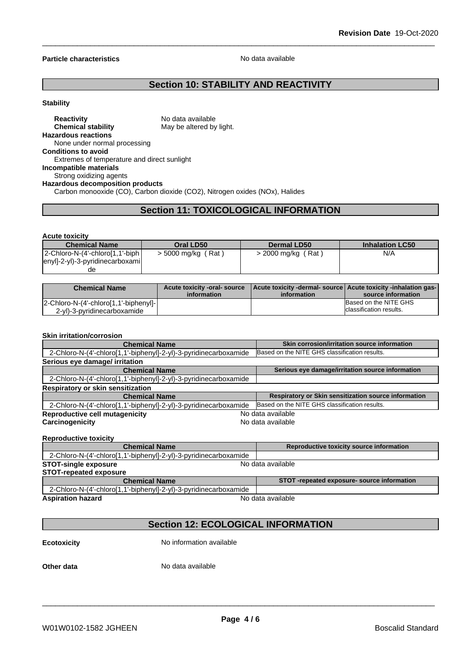#### **Particle characteristics** No data available

# **Section 10: STABILITY AND REACTIVITY**

#### **Stability**

#### **Reactivity** No data available **Chemical stability** May be altered by light. **Hazardous reactions** None under normal processing **Conditions to avoid** Extremes of temperature and direct sunlight **Incompatible materials** Strong oxidizing agents **Hazardous decomposition products** Carbon monooxide (CO), Carbon dioxide (CO2), Nitrogen oxides (NOx), Halides

# **Section 11: TOXICOLOGICAL INFORMATION**

#### **Acute toxicity**

| <b>Chemical Name</b>            | Oral LD50          | Dermal LD50        | <b>Inhalation LC50</b> |
|---------------------------------|--------------------|--------------------|------------------------|
| 2-Chloro-N-(4'-chloro[1,1'-biph | > 5000 mg/kg (Rat) | > 2000 mg/kg (Rat) | N/A                    |
| enyl]-2-yl)-3-pyridinecarboxami |                    |                    |                        |
| de                              |                    |                    |                        |

| <b>Chemical Name</b>                  | Acute toxicity -oral- source<br>information | Acute toxicity -dermal- source   Acute toxicity -inhalation gas-<br>information | source information       |
|---------------------------------------|---------------------------------------------|---------------------------------------------------------------------------------|--------------------------|
| 2-Chloro-N-(4'-chloro[1,1'-biphenyl]- |                                             |                                                                                 | Based on the NITE GHS    |
| 2-yl)-3-pyridinecarboxamide           |                                             |                                                                                 | Iclassification results. |

#### **Skin irritation/corrosion**

| <b>Chemical Name</b>                                             | Skin corrosion/irritation source information         |  |
|------------------------------------------------------------------|------------------------------------------------------|--|
| 2-Chloro-N-(4'-chloro[1,1'-biphenyl]-2-yl)-3-pyridinecarboxamide | Based on the NITE GHS classification results.        |  |
| Serious eye damage/ irritation                                   |                                                      |  |
| <b>Chemical Name</b>                                             | Serious eye damage/irritation source information     |  |
| 2-Chloro-N-(4'-chloro[1,1'-biphenyl]-2-yl)-3-pyridinecarboxamide |                                                      |  |
| Respiratory or skin sensitization                                |                                                      |  |
| <b>Chemical Name</b>                                             | Respiratory or Skin sensitization source information |  |
| 2-Chloro-N-(4'-chloro[1,1'-biphenyl]-2-yl)-3-pyridinecarboxamide | Based on the NITE GHS classification results.        |  |
| <b>Reproductive cell mutagenicity</b>                            | No data available                                    |  |
| Carcinogenicity                                                  | No data available                                    |  |
|                                                                  |                                                      |  |

#### **Reproductive toxicity**

| <b>Chemical Name</b>                                             |                   | Reproductive toxicity source information  |
|------------------------------------------------------------------|-------------------|-------------------------------------------|
| 2-Chloro-N-(4'-chloro[1,1'-biphenyl]-2-yl)-3-pyridinecarboxamide |                   |                                           |
| <b>STOT-single exposure</b>                                      | No data available |                                           |
| <b>STOT-repeated exposure</b>                                    |                   |                                           |
| <b>Chemical Name</b>                                             |                   | STOT-repeated exposure-source information |
| 2-Chloro-N-(4'-chloro[1,1'-biphenyl]-2-yl)-3-pyridinecarboxamide |                   |                                           |
| <b>Aspiration hazard</b>                                         |                   | No data available                         |

# **Section 12: ECOLOGICAL INFORMATION**

**Ecotoxicity** No information available

**Other data** No data available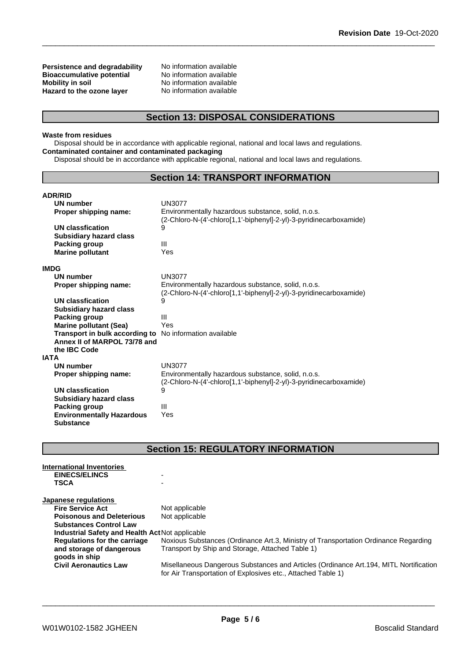**Persistence and degradability** No information available<br>**Bioaccumulative potential** No information available **Bioaccumulative potential<br>Mobility in soil Hazard** to the ozone layer

No information available<br>No information available

# **Section 13: DISPOSAL CONSIDERATIONS**

#### **Waste from residues**

Disposal should be in accordance with applicable regional, national and local laws and regulations. **Contaminated container and contaminated packaging**

Disposal should be in accordance with applicable regional, national and local laws and regulations.

# **Section 14: TRANSPORT INFORMATION**

| <b>ADR/RID</b>                                                 |                                                                                                                          |
|----------------------------------------------------------------|--------------------------------------------------------------------------------------------------------------------------|
| <b>UN number</b>                                               | <b>UN3077</b>                                                                                                            |
| Proper shipping name:                                          | Environmentally hazardous substance, solid, n.o.s.<br>(2-Chloro-N-(4'-chloro[1,1'-biphenyl]-2-yl)-3-pyridinecarboxamide) |
| <b>UN classfication</b>                                        | 9                                                                                                                        |
| <b>Subsidiary hazard class</b>                                 |                                                                                                                          |
| Packing group                                                  | Ш                                                                                                                        |
| <b>Marine pollutant</b>                                        | Yes                                                                                                                      |
|                                                                |                                                                                                                          |
| IMDG                                                           |                                                                                                                          |
| <b>UN number</b>                                               | <b>UN3077</b>                                                                                                            |
| Proper shipping name:                                          | Environmentally hazardous substance, solid, n.o.s.                                                                       |
|                                                                | (2-Chloro-N-(4'-chloro[1,1'-biphenyl]-2-yl)-3-pyridinecarboxamide)                                                       |
| UN classfication                                               | 9                                                                                                                        |
| <b>Subsidiary hazard class</b>                                 |                                                                                                                          |
| Packing group                                                  | Ш                                                                                                                        |
| <b>Marine pollutant (Sea)</b>                                  | Yes                                                                                                                      |
| <b>Transport in bulk according to</b> No information available |                                                                                                                          |
| Annex II of MARPOL 73/78 and                                   |                                                                                                                          |
| the IBC Code                                                   |                                                                                                                          |
| IATA                                                           |                                                                                                                          |
| UN number                                                      | <b>UN3077</b>                                                                                                            |
| Proper shipping name:                                          | Environmentally hazardous substance, solid, n.o.s.                                                                       |
|                                                                | (2-Chloro-N-(4'-chloro[1,1'-biphenyl]-2-yl)-3-pyridinecarboxamide)                                                       |
| <b>UN classfication</b>                                        | 9                                                                                                                        |
| <b>Subsidiary hazard class</b>                                 |                                                                                                                          |
| Packing group                                                  | $\mathbf{III}$                                                                                                           |
| <b>Environmentally Hazardous</b>                               | Yes                                                                                                                      |
|                                                                |                                                                                                                          |
| <b>Substance</b>                                               |                                                                                                                          |

# **Section 15: REGULATORY INFORMATION**

| International Inventories<br><b>EINECS/ELINCS</b> |                                                                                                                                                        |
|---------------------------------------------------|--------------------------------------------------------------------------------------------------------------------------------------------------------|
| <b>TSCA</b>                                       |                                                                                                                                                        |
| Japanese regulations                              |                                                                                                                                                        |
| <b>Fire Service Act</b>                           | Not applicable                                                                                                                                         |
| <b>Poisonous and Deleterious</b>                  | Not applicable                                                                                                                                         |
| <b>Substances Control Law</b>                     |                                                                                                                                                        |
| Industrial Safety and Health Act Not applicable   |                                                                                                                                                        |
| <b>Regulations for the carriage</b>               | Noxious Substances (Ordinance Art.3, Ministry of Transportation Ordinance Regarding                                                                    |
| and storage of dangerous<br>goods in ship         | Transport by Ship and Storage, Attached Table 1)                                                                                                       |
| <b>Civil Aeronautics Law</b>                      | Misellaneous Dangerous Substances and Articles (Ordinance Art. 194, MITL Nortification<br>for Air Transportation of Explosives etc., Attached Table 1) |